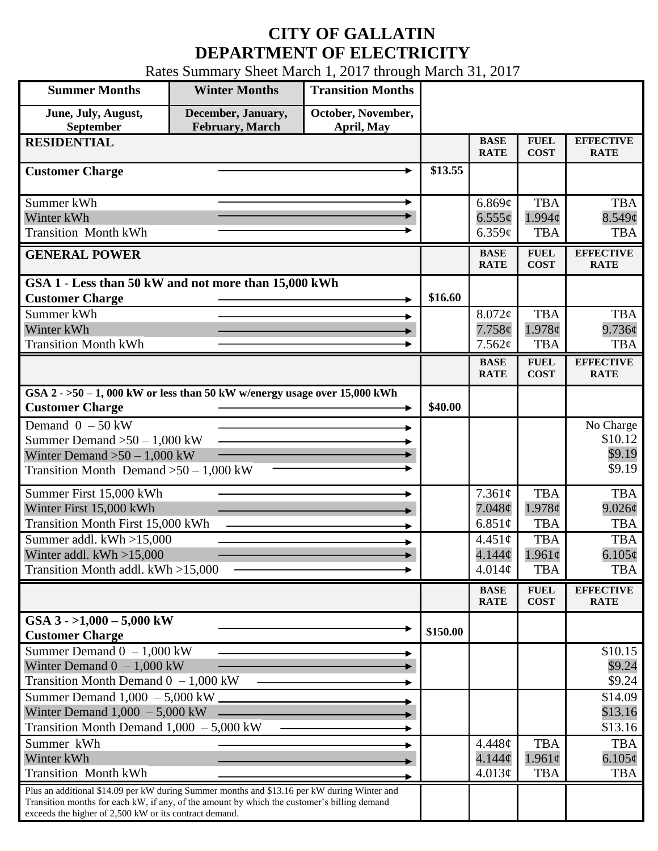## **CITY OF GALLATIN DEPARTMENT OF ELECTRICITY**

Rates Summary Sheet March 1, 2017 through March 31, 2017

| <b>Summer Months</b>                                                                                                                                                                       | <b>Winter Months</b>                          | <b>Transition Months</b>         |             |                            |                            |                                 |
|--------------------------------------------------------------------------------------------------------------------------------------------------------------------------------------------|-----------------------------------------------|----------------------------------|-------------|----------------------------|----------------------------|---------------------------------|
| June, July, August,<br>September                                                                                                                                                           | December, January,<br><b>February</b> , March | October, November,<br>April, May |             |                            |                            |                                 |
| <b>RESIDENTIAL</b>                                                                                                                                                                         |                                               |                                  |             | <b>BASE</b><br><b>RATE</b> | <b>FUEL</b><br><b>COST</b> | <b>EFFECTIVE</b><br><b>RATE</b> |
| <b>Customer Charge</b>                                                                                                                                                                     |                                               |                                  | \$13.55     |                            |                            |                                 |
| Summer kWh                                                                                                                                                                                 |                                               | ▸                                |             | 6.869¢                     | <b>TBA</b>                 | <b>TBA</b>                      |
| Winter kWh                                                                                                                                                                                 |                                               |                                  |             | $6.555\phi$                | 1.994c                     | 8.549¢                          |
| <b>Transition Month kWh</b>                                                                                                                                                                |                                               |                                  |             | 6.359c                     | <b>TBA</b>                 | <b>TBA</b>                      |
| <b>GENERAL POWER</b>                                                                                                                                                                       |                                               |                                  |             | <b>BASE</b><br><b>RATE</b> | <b>FUEL</b><br><b>COST</b> | <b>EFFECTIVE</b><br><b>RATE</b> |
| GSA 1 - Less than 50 kW and not more than 15,000 kWh                                                                                                                                       |                                               |                                  |             |                            |                            |                                 |
| <b>Customer Charge</b><br>Summer kWh                                                                                                                                                       |                                               |                                  | \$16.60     |                            |                            |                                 |
| Winter kWh                                                                                                                                                                                 |                                               |                                  |             | $8.072\phi$<br>7.758¢      | <b>TBA</b><br>$1.978\phi$  | <b>TBA</b><br>9.736¢            |
| <b>Transition Month kWh</b>                                                                                                                                                                |                                               |                                  |             | 7.562¢                     | <b>TBA</b>                 | <b>TBA</b>                      |
|                                                                                                                                                                                            |                                               |                                  |             | <b>BASE</b><br><b>RATE</b> | <b>FUEL</b>                | <b>EFFECTIVE</b>                |
|                                                                                                                                                                                            |                                               |                                  |             |                            | <b>COST</b>                | <b>RATE</b>                     |
| GSA $2 - 50 - 1$ , 000 kW or less than 50 kW w/energy usage over 15,000 kWh<br><b>Customer Charge</b>                                                                                      |                                               |                                  | \$40.00     |                            |                            |                                 |
| Demand $0 - 50$ kW                                                                                                                                                                         |                                               |                                  |             |                            |                            | No Charge                       |
| Summer Demand $>50 - 1,000$ kW                                                                                                                                                             |                                               |                                  |             |                            |                            | \$10.12                         |
| Winter Demand $>50 - 1,000$ kW                                                                                                                                                             |                                               |                                  |             |                            |                            | \$9.19                          |
| Transition Month Demand $>50-1,000$ kW                                                                                                                                                     |                                               |                                  |             |                            |                            | \$9.19                          |
| Summer First 15,000 kWh                                                                                                                                                                    |                                               |                                  |             | 7.361¢                     | <b>TBA</b>                 | <b>TBA</b>                      |
| Winter First 15,000 kWh                                                                                                                                                                    |                                               |                                  | $7.048\phi$ | $1.978\phi$                | 9.026¢                     |                                 |
| <b>Transition Month First 15,000 kWh</b>                                                                                                                                                   |                                               |                                  |             | 6.851 $\phi$               | <b>TBA</b>                 | <b>TBA</b>                      |
| Summer addl. $kWh > 15,000$                                                                                                                                                                |                                               |                                  |             | $4.451\phi$                | <b>TBA</b>                 | <b>TBA</b>                      |
| Winter addl. $kWh > 15,000$                                                                                                                                                                |                                               |                                  |             | 4.144 <sub>c</sub>         | $1.961\phi$<br><b>TBA</b>  | $6.105\phi$                     |
| Transition Month addl. kWh >15,000                                                                                                                                                         |                                               |                                  |             | 4.014¢                     |                            | <b>TBA</b>                      |
|                                                                                                                                                                                            |                                               |                                  |             | <b>BASE</b><br><b>RATE</b> | <b>FUEL</b><br><b>COST</b> | <b>EFFECTIVE</b><br><b>RATE</b> |
| GSA $3 - 1,000 - 5,000$ kW<br><b>Customer Charge</b>                                                                                                                                       |                                               |                                  | \$150.00    |                            |                            |                                 |
| Summer Demand $0 - 1,000$ kW                                                                                                                                                               |                                               |                                  |             |                            |                            | \$10.15                         |
| Winter Demand $0 - 1,000$ kW                                                                                                                                                               |                                               |                                  |             |                            |                            | \$9.24                          |
| Transition Month Demand $0 - 1,000$ kW                                                                                                                                                     |                                               |                                  |             |                            |                            | \$9.24                          |
| Summer Demand $1,000 - 5,000$ kW $\_$                                                                                                                                                      |                                               |                                  |             |                            |                            | \$14.09                         |
| Winter Demand $1,000 - 5,000$ kW                                                                                                                                                           |                                               |                                  |             |                            |                            | \$13.16                         |
| Transition Month Demand $1,000 - 5,000$ kW                                                                                                                                                 |                                               |                                  |             |                            |                            | \$13.16                         |
| Summer kWh                                                                                                                                                                                 |                                               |                                  |             | 4.448¢                     | <b>TBA</b>                 | <b>TBA</b>                      |
| Winter kWh<br><b>Transition Month kWh</b>                                                                                                                                                  |                                               |                                  |             | 4.144¢<br>4.013¢           | $1.961\phi$<br><b>TBA</b>  | $6.105\phi$<br><b>TBA</b>       |
|                                                                                                                                                                                            |                                               |                                  |             |                            |                            |                                 |
| Plus an additional \$14.09 per kW during Summer months and \$13.16 per kW during Winter and<br>Transition months for each kW, if any, of the amount by which the customer's billing demand |                                               |                                  |             |                            |                            |                                 |
| exceeds the higher of 2,500 kW or its contract demand.                                                                                                                                     |                                               |                                  |             |                            |                            |                                 |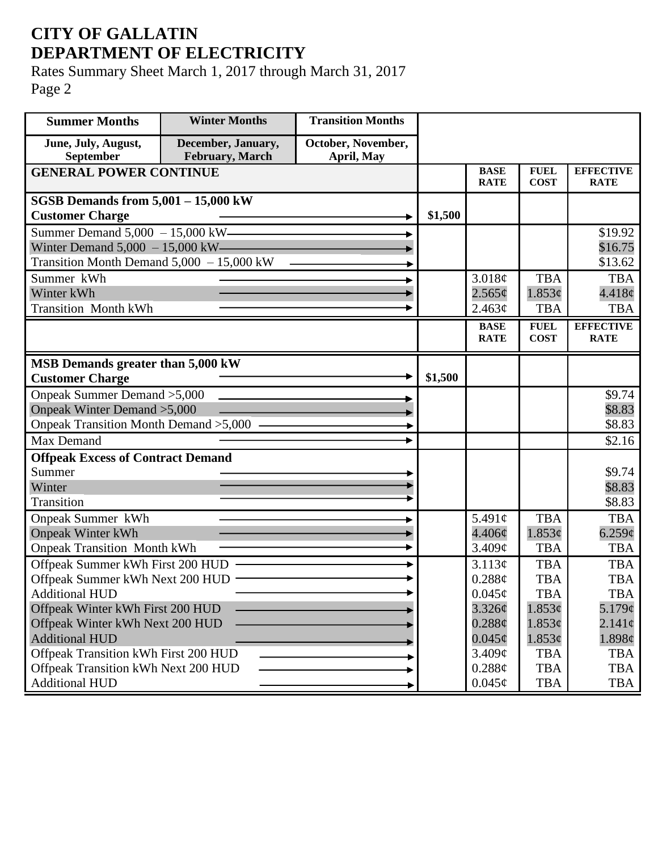## **CITY OF GALLATIN DEPARTMENT OF ELECTRICITY**

Rates Summary Sheet March 1, 2017 through March 31, 2017 Page 2

| <b>Summer Months</b>                                                | <b>Winter Months</b>                  | <b>Transition Months</b>         |         |                            |                            |                                 |
|---------------------------------------------------------------------|---------------------------------------|----------------------------------|---------|----------------------------|----------------------------|---------------------------------|
| June, July, August,<br>September                                    | December, January,<br>February, March | October, November,<br>April, May |         |                            |                            |                                 |
| <b>GENERAL POWER CONTINUE</b>                                       |                                       |                                  |         | <b>BASE</b><br><b>RATE</b> | <b>FUEL</b><br><b>COST</b> | <b>EFFECTIVE</b><br><b>RATE</b> |
| SGSB Demands from $5,001 - 15,000$ kW                               |                                       |                                  |         |                            |                            |                                 |
| <b>Customer Charge</b>                                              |                                       |                                  | \$1,500 |                            |                            |                                 |
| Summer Demand $5,000 - 15,000$ kW-                                  |                                       |                                  |         |                            |                            | \$19.92                         |
| Winter Demand $5,000 - 15,000$ kW——                                 |                                       |                                  |         |                            |                            | \$16.75                         |
| Transition Month Demand $5,000 - 15,000$ kW                         |                                       |                                  |         |                            |                            | \$13.62                         |
| Summer kWh                                                          |                                       |                                  |         | 3.018¢                     | <b>TBA</b>                 | <b>TBA</b>                      |
| Winter kWh                                                          |                                       |                                  |         | 2.565¢                     | 1.853¢                     | 4.418¢                          |
| <b>Transition Month kWh</b>                                         |                                       |                                  |         | 2.463¢                     | <b>TBA</b>                 | <b>TBA</b>                      |
|                                                                     |                                       |                                  |         | <b>BASE</b><br><b>RATE</b> | <b>FUEL</b><br><b>COST</b> | <b>EFFECTIVE</b><br><b>RATE</b> |
|                                                                     |                                       |                                  |         |                            |                            |                                 |
| MSB Demands greater than 5,000 kW                                   |                                       |                                  |         |                            |                            |                                 |
| <b>Customer Charge</b>                                              |                                       |                                  | \$1,500 |                            |                            |                                 |
| Onpeak Summer Demand > 5,000                                        |                                       |                                  |         |                            |                            | \$9.74                          |
| Onpeak Winter Demand > 5,000                                        |                                       |                                  |         |                            |                            | \$8.83                          |
| Onpeak Transition Month Demand > 5,000 -                            |                                       |                                  |         |                            |                            | \$8.83                          |
| Max Demand                                                          |                                       |                                  |         |                            |                            | \$2.16                          |
| <b>Offpeak Excess of Contract Demand</b>                            |                                       |                                  |         |                            |                            |                                 |
| Summer                                                              |                                       |                                  |         |                            |                            | \$9.74                          |
| Winter                                                              |                                       |                                  |         |                            |                            | \$8.83                          |
| <b>Transition</b>                                                   |                                       |                                  |         |                            |                            | \$8.83                          |
| Onpeak Summer kWh                                                   |                                       |                                  |         | 5.491 $\phi$               | <b>TBA</b>                 | <b>TBA</b>                      |
| <b>Onpeak Winter kWh</b>                                            |                                       |                                  |         | 4.406¢                     | 1.853¢                     | 6.259¢                          |
| <b>Onpeak Transition Month kWh</b>                                  |                                       |                                  |         | 3.409¢                     | <b>TBA</b>                 | <b>TBA</b>                      |
| Offpeak Summer kWh First 200 HUD                                    |                                       |                                  |         | 3.113¢                     | <b>TBA</b>                 | <b>TBA</b>                      |
| Offpeak Summer kWh Next 200 HUD -<br><b>Additional HUD</b>          |                                       |                                  |         | 0.288¢                     | <b>TBA</b>                 | <b>TBA</b>                      |
|                                                                     |                                       |                                  |         | $0.045\phi$<br>3.326¢      | <b>TBA</b><br>1.853¢       | <b>TBA</b><br>5.179¢            |
| Offpeak Winter kWh First 200 HUD<br>Offpeak Winter kWh Next 200 HUD |                                       |                                  |         | $0.288\ell$                | 1.853¢                     | $2.141\phi$                     |
| <b>Additional HUD</b>                                               |                                       |                                  |         | $0.045\phi$                | $1.853\phi$                | 1.898¢                          |
| Offpeak Transition kWh First 200 HUD                                |                                       |                                  |         | 3.409¢                     | <b>TBA</b>                 | <b>TBA</b>                      |
| Offpeak Transition kWh Next 200 HUD                                 |                                       |                                  |         | 0.288¢                     | <b>TBA</b>                 | <b>TBA</b>                      |
| <b>Additional HUD</b>                                               |                                       |                                  |         | $0.045\phi$                | <b>TBA</b>                 | TBA                             |